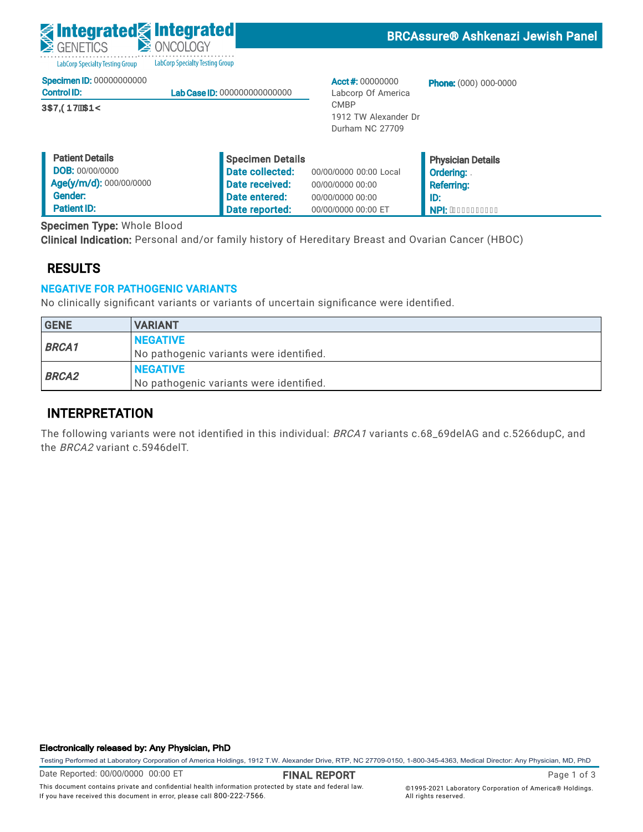

BRCAssure® Ashkenazi Jewish Panel

LabCorp Specialty Testing Group LabCorp Specialty Testing Group

|  | <b>Specimen ID: 00000000000</b> |
|--|---------------------------------|
|  |                                 |

| <b>Control ID:</b>   | <b>Lab Case ID: 000000000000000</b> |
|----------------------|-------------------------------------|
| <b>ÚŒVODDVÉKTEDŸ</b> |                                     |

Acct #: 00000000 Labcorp Of America CMBP 1912 TW Alexander Dr Durham NC 27709

Phone: (000) 000-0000

| <b>Patient Details</b>  | Specimen Details |                        | <b>Physician Details</b> |
|-------------------------|------------------|------------------------|--------------------------|
| <b>DOB: 00/00/0000</b>  | Date collected:  | 00/00/0000 00:00 Local | <b>Ordering:</b>         |
| Age(y/m/d): 000/00/0000 | Date received:   | 00/00/0000 00:00       | <b>Referring:</b>        |
| Gender:                 | Date entered:    | 00/00/0000 00:00       | l ID:                    |
| <b>Patient ID:</b>      | Date reported:   | 00/00/0000 00:00 ET    | NPI: AEEEEEEEEEE         |

Specimen Type: Whole Blood

Clinical Indication: Personal and/or family history of Hereditary Breast and Ovarian Cancer (HBOC)

### RESULTS

### NEGATIVE FOR PATHOGENIC VARIANTS

No clinically significant variants or variants of uncertain significance were identified.

| <b>GENE</b>  | <b>VARIANT</b>                          |
|--------------|-----------------------------------------|
| <b>BRCA1</b> | <b>NEGATIVE</b>                         |
|              | No pathogenic variants were identified. |
| <b>BRCA2</b> | <b>NEGATIVE</b>                         |
|              | No pathogenic variants were identified. |

### INTERPRETATION

The following variants were not identified in this individual: BRCA1 variants c.68\_69delAG and c.5266dupC, and the BRCA2 variant c.5946delT.

#### Electronically released by: Any Physician, PhD

Testing Performed at Laboratory Corporation of America Holdings, 1912 T.W. Alexander Drive, RTP, NC 27709-0150, 1-800-345-4363, Medical Director: Any Physician, MD, PhD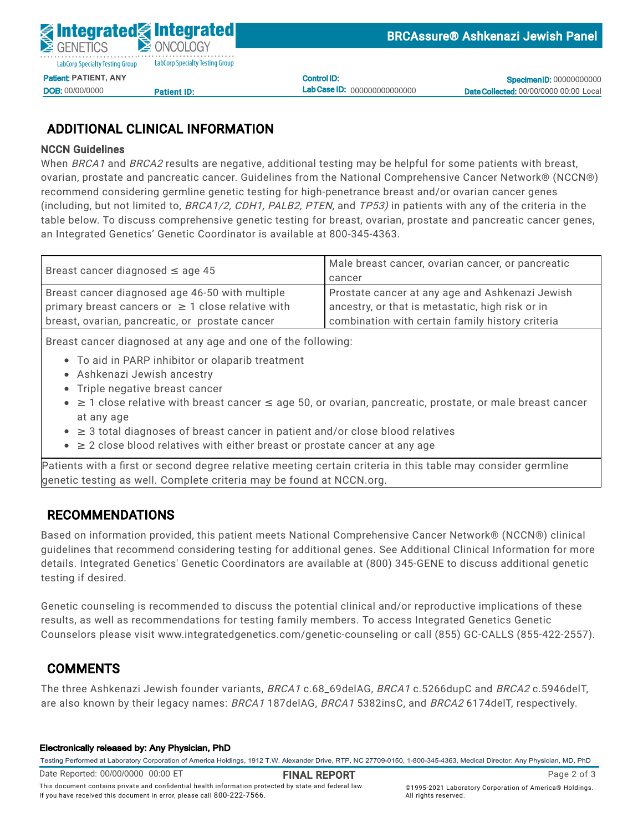Control ID: Lab Case ID: 000000000000000

**Specimen ID: 00000000000** Date Collected: 00/00/0000 00:00 Local

# ADDITIONAL CLINICAL INFORMATION

<u>Patient ID:</u>

#### NCCN Guidelines

DOB: 00/00/0000

When *BRCA1* and *BRCA2* results are negative, additional testing may be helpful for some patients with breast, ovarian, prostate and pancreatic cancer. Guidelines from the National Comprehensive Cancer Network® (NCCN®)  $\frac{1}{2}$ ecommen<br>. (including, but not limited to, *BRCA1/2, CDH1, PALB2, PTEN,* and *TP53)* in patients with any of the criteria in the on caladimed from the rightman. lette testing for ingiliperietrance referre et<br>Fr recommend considering germline genetic testing for high-penetrance breast and/or ovarian cancer genes<br>. Specimen Type: Whole Blood table below. To discuss comprehensive genetic testing for breast, ovarian, prostate and pancreatic cancer genes, an Integrated Genetics' Genetic Coordinator is available at 800-345-4363.

| Breast cancer diagnosed $\leq$ age 45                  | Male breast cancer, ovarian cancer, or pancreatic |
|--------------------------------------------------------|---------------------------------------------------|
|                                                        | cancer                                            |
| Breast cancer diagnosed age 46-50 with multiple        | Prostate cancer at any age and Ashkenazi Jewish   |
| primary breast cancers or $\geq$ 1 close relative with | ancestry, or that is metastatic, high risk or in  |
| breast, ovarian, pancreatic, or prostate cancer        | combination with certain family history criteria  |

Breast cancer diagnosed at any age and one of the following:

- To aid in PARP inhibitor or olaparib treatment
- $\bullet$  Ashkenazi Jewish ancestry
	- $\widetilde{\phantom{a}}$  Triple negative breast cancer
- at any age ≥ 1 close relative with breast cancer ≤ age 50, or ovarian, pancreatic, prostate, or male breast cancer
- ≥ 3 total diagnoses of breast cancer in patient and/or close blood relatives
- $≥$  2 close blood relatives with either breast or prostate cancer at any age

Patients with a first or second degree relative meeting certain criteria in this table may consider germline genetic testing as well. Complete criteria may be found at NCCN.org.

## RECOMMENDATIONS

Based on information provided, this patient meets National Comprehensive Cancer Network® (NCCN®) clinical guidelines that recommend considering testing for additional genes. See Additional Clinical Information for more details. Integrated Genetics' Genetic Coordinators are available at (800) 345-GENE to discuss additional genetic testing if desired.

Genetic counseling is recommended to discuss the potential clinical and/or reproductive implications of these results, as well as recommendations for testing family members. To access Integrated Genetics Genetic Counselors please visit www.integratedgenetics.com/genetic-counseling or call (855) GC-CALLS (855-422-2557).

## COMMENTS

The three Ashkenazi Jewish founder variants, BRCA1 c.68\_69delAG, BRCA1 c.5266dupC and BRCA2 c.5946delT, are also known by their legacy names: BRCA1 187delAG, BRCA1 5382insC, and BRCA2 6174delT, respectively.

#### Electronically released by: Any Physician, PhD

Testing Performed at Laboratory Corporation of America Holdings, 1912 T.W. Alexander Drive, RTP, NC 27709-0150, 1-800-345-4363, Medical Director: Any Physician, MD, PhD

Date Reported: 00/00/0000 00:00 ET **TRIVE, America Holdings, 1912 T.M. Alexander Drive, America** Drive, Rage 2 of 3